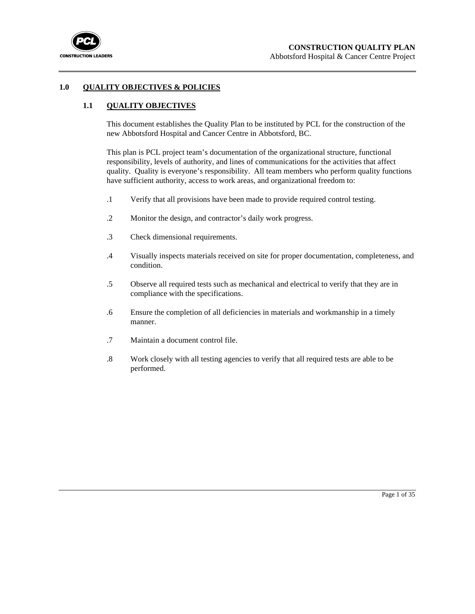

### **1.0 QUALITY OBJECTIVES & POLICIES**

## **1.1 QUALITY OBJECTIVES**

This document establishes the Quality Plan to be instituted by PCL for the construction of the new Abbotsford Hospital and Cancer Centre in Abbotsford, BC.

This plan is PCL project team's documentation of the organizational structure, functional responsibility, levels of authority, and lines of communications for the activities that affect quality. Quality is everyone's responsibility. All team members who perform quality functions have sufficient authority, access to work areas, and organizational freedom to:

- .1 Verify that all provisions have been made to provide required control testing.
- .2 Monitor the design, and contractor's daily work progress.
- .3 Check dimensional requirements.
- .4 Visually inspects materials received on site for proper documentation, completeness, and condition.
- .5 Observe all required tests such as mechanical and electrical to verify that they are in compliance with the specifications.
- .6 Ensure the completion of all deficiencies in materials and workmanship in a timely manner.
- .7 Maintain a document control file.
- .8 Work closely with all testing agencies to verify that all required tests are able to be performed.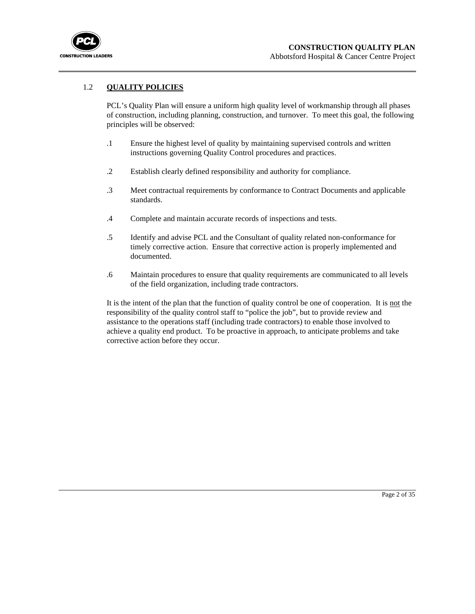

## 1.2 **QUALITY POLICIES**

PCL's Quality Plan will ensure a uniform high quality level of workmanship through all phases of construction, including planning, construction, and turnover. To meet this goal, the following principles will be observed:

- .1 Ensure the highest level of quality by maintaining supervised controls and written instructions governing Quality Control procedures and practices.
- .2 Establish clearly defined responsibility and authority for compliance.
- .3 Meet contractual requirements by conformance to Contract Documents and applicable standards.
- .4 Complete and maintain accurate records of inspections and tests.
- .5 Identify and advise PCL and the Consultant of quality related non-conformance for timely corrective action. Ensure that corrective action is properly implemented and documented.
- .6 Maintain procedures to ensure that quality requirements are communicated to all levels of the field organization, including trade contractors.

It is the intent of the plan that the function of quality control be one of cooperation. It is not the responsibility of the quality control staff to "police the job", but to provide review and assistance to the operations staff (including trade contractors) to enable those involved to achieve a quality end product. To be proactive in approach, to anticipate problems and take corrective action before they occur.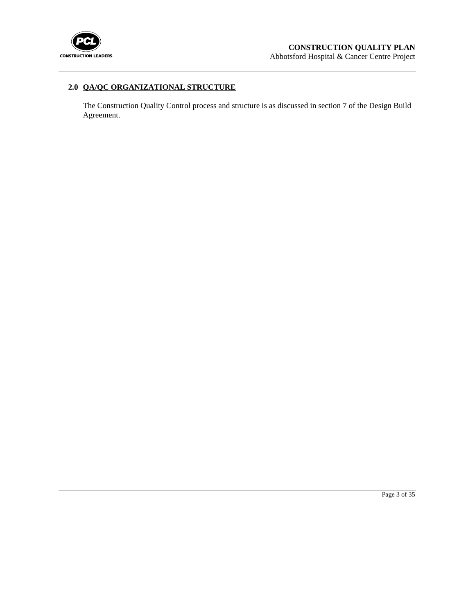

## **2.0 QA/QC ORGANIZATIONAL STRUCTURE**

The Construction Quality Control process and structure is as discussed in section 7 of the Design Build Agreement.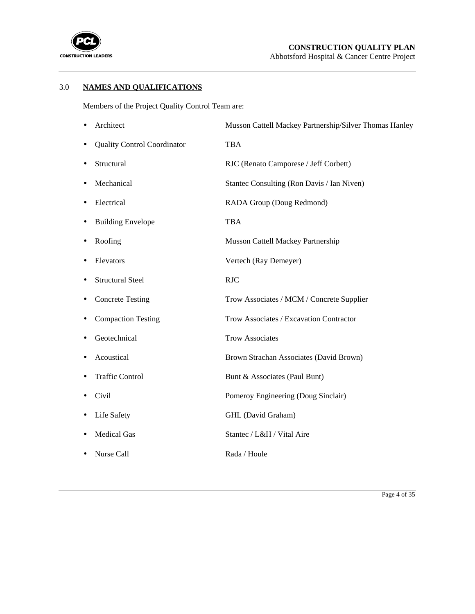

## 3.0 **NAMES AND QUALIFICATIONS**

Members of the Project Quality Control Team are:

|   | Architect                          | Musson Cattell Mackey Partnership/Silver Thomas Hanley |
|---|------------------------------------|--------------------------------------------------------|
|   | <b>Quality Control Coordinator</b> | <b>TBA</b>                                             |
|   | Structural                         | RJC (Renato Camporese / Jeff Corbett)                  |
|   | Mechanical                         | Stantec Consulting (Ron Davis / Ian Niven)             |
|   | Electrical                         | RADA Group (Doug Redmond)                              |
|   | <b>Building Envelope</b>           | <b>TBA</b>                                             |
| ٠ | Roofing                            | Musson Cattell Mackey Partnership                      |
|   | Elevators                          | Vertech (Ray Demeyer)                                  |
|   | <b>Structural Steel</b>            | <b>RJC</b>                                             |
|   | <b>Concrete Testing</b>            | Trow Associates / MCM / Concrete Supplier              |
|   | <b>Compaction Testing</b>          | Trow Associates / Excavation Contractor                |
|   | Geotechnical                       | <b>Trow Associates</b>                                 |
|   | Acoustical                         | Brown Strachan Associates (David Brown)                |
|   | <b>Traffic Control</b>             | Bunt & Associates (Paul Bunt)                          |
|   | Civil                              | Pomeroy Engineering (Doug Sinclair)                    |
|   | Life Safety                        | GHL (David Graham)                                     |
|   | <b>Medical Gas</b>                 | Stantec / L&H / Vital Aire                             |
|   | Nurse Call                         | Rada / Houle                                           |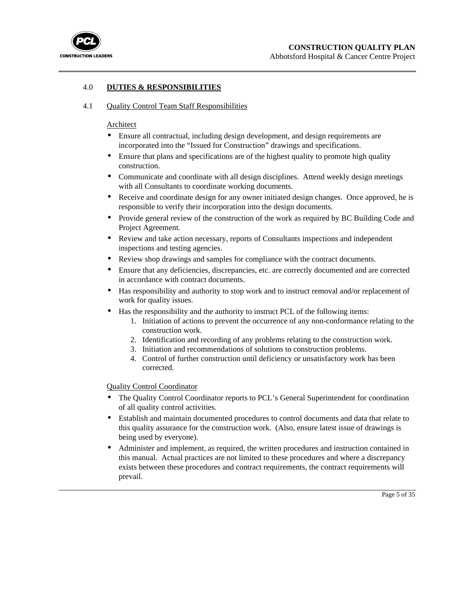

## 4.0 **DUTIES & RESPONSIBILITIES**

#### 4.1 Quality Control Team Staff Responsibilities

#### Architect

- Ensure all contractual, including design development, and design requirements are incorporated into the "Issued for Construction" drawings and specifications.
- Ensure that plans and specifications are of the highest quality to promote high quality construction.
- Communicate and coordinate with all design disciplines. Attend weekly design meetings with all Consultants to coordinate working documents.
- Receive and coordinate design for any owner initiated design changes. Once approved, he is responsible to verify their incorporation into the design documents.
- Provide general review of the construction of the work as required by BC Building Code and Project Agreement.
- Review and take action necessary, reports of Consultants inspections and independent inspections and testing agencies.
- Review shop drawings and samples for compliance with the contract documents.
- Ensure that any deficiencies, discrepancies, etc. are correctly documented and are corrected in accordance with contract documents.
- Has responsibility and authority to stop work and to instruct removal and/or replacement of work for quality issues.
- Has the responsibility and the authority to instruct PCL of the following items:
	- 1. Initiation of actions to prevent the occurrence of any non-conformance relating to the construction work.
	- 2. Identification and recording of any problems relating to the construction work.
	- 3. Initiation and recommendations of solutions to construction problems.
	- 4. Control of further construction until deficiency or unsatisfactory work has been corrected.

Quality Control Coordinator

- The Quality Control Coordinator reports to PCL's General Superintendent for coordination of all quality control activities.
- Establish and maintain documented procedures to control documents and data that relate to this quality assurance for the construction work. (Also, ensure latest issue of drawings is being used by everyone).
- Administer and implement, as required, the written procedures and instruction contained in this manual. Actual practices are not limited to these procedures and where a discrepancy exists between these procedures and contract requirements, the contract requirements will prevail.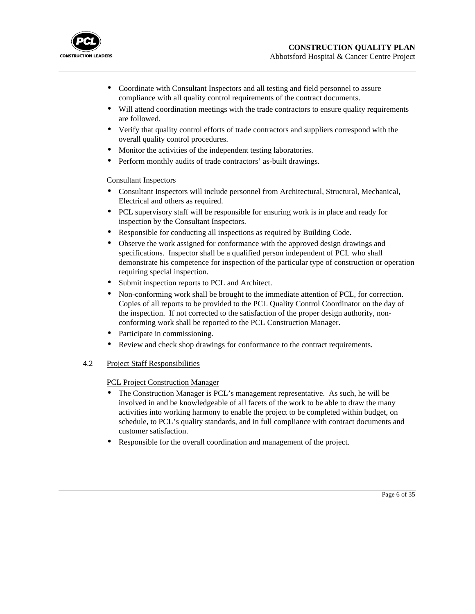

- Coordinate with Consultant Inspectors and all testing and field personnel to assure compliance with all quality control requirements of the contract documents.
- Will attend coordination meetings with the trade contractors to ensure quality requirements are followed.
- Verify that quality control efforts of trade contractors and suppliers correspond with the overall quality control procedures.
- Monitor the activities of the independent testing laboratories.
- Perform monthly audits of trade contractors' as-built drawings.

### Consultant Inspectors

- Consultant Inspectors will include personnel from Architectural, Structural, Mechanical, Electrical and others as required.
- PCL supervisory staff will be responsible for ensuring work is in place and ready for inspection by the Consultant Inspectors.
- Responsible for conducting all inspections as required by Building Code.
- Observe the work assigned for conformance with the approved design drawings and specifications. Inspector shall be a qualified person independent of PCL who shall demonstrate his competence for inspection of the particular type of construction or operation requiring special inspection.
- Submit inspection reports to PCL and Architect.
- Non-conforming work shall be brought to the immediate attention of PCL, for correction. Copies of all reports to be provided to the PCL Quality Control Coordinator on the day of the inspection. If not corrected to the satisfaction of the proper design authority, nonconforming work shall be reported to the PCL Construction Manager.
- Participate in commissioning.
- Review and check shop drawings for conformance to the contract requirements.

### 4.2 Project Staff Responsibilities

### PCL Project Construction Manager

- The Construction Manager is PCL's management representative. As such, he will be involved in and be knowledgeable of all facets of the work to be able to draw the many activities into working harmony to enable the project to be completed within budget, on schedule, to PCL's quality standards, and in full compliance with contract documents and customer satisfaction.
- Responsible for the overall coordination and management of the project.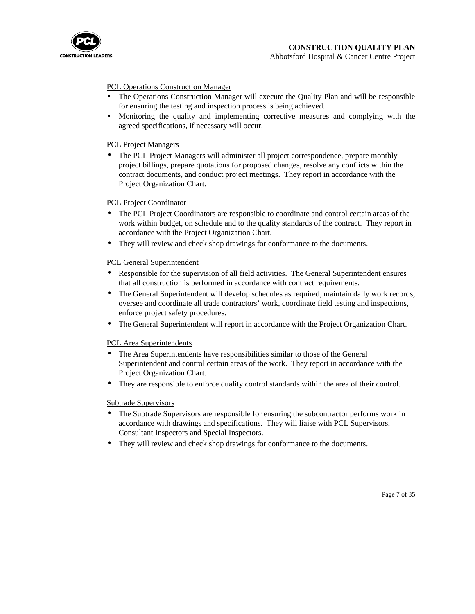

### PCL Operations Construction Manager

- The Operations Construction Manager will execute the Quality Plan and will be responsible for ensuring the testing and inspection process is being achieved.
- Monitoring the quality and implementing corrective measures and complying with the agreed specifications, if necessary will occur.

#### PCL Project Managers

• The PCL Project Managers will administer all project correspondence, prepare monthly project billings, prepare quotations for proposed changes, resolve any conflicts within the contract documents, and conduct project meetings. They report in accordance with the Project Organization Chart.

#### PCL Project Coordinator

- The PCL Project Coordinators are responsible to coordinate and control certain areas of the work within budget, on schedule and to the quality standards of the contract. They report in accordance with the Project Organization Chart.
- They will review and check shop drawings for conformance to the documents.

#### PCL General Superintendent

- Responsible for the supervision of all field activities. The General Superintendent ensures that all construction is performed in accordance with contract requirements.
- The General Superintendent will develop schedules as required, maintain daily work records, oversee and coordinate all trade contractors' work, coordinate field testing and inspections, enforce project safety procedures.
- The General Superintendent will report in accordance with the Project Organization Chart.

#### PCL Area Superintendents

- The Area Superintendents have responsibilities similar to those of the General Superintendent and control certain areas of the work. They report in accordance with the Project Organization Chart.
- They are responsible to enforce quality control standards within the area of their control.

#### Subtrade Supervisors

- The Subtrade Supervisors are responsible for ensuring the subcontractor performs work in accordance with drawings and specifications. They will liaise with PCL Supervisors, Consultant Inspectors and Special Inspectors.
- They will review and check shop drawings for conformance to the documents.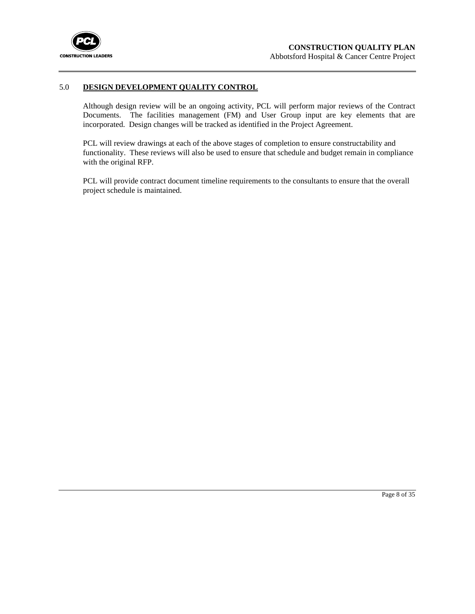

#### 5.0 **DESIGN DEVELOPMENT QUALITY CONTROL**

Although design review will be an ongoing activity, PCL will perform major reviews of the Contract Documents. The facilities management (FM) and User Group input are key elements that are incorporated. Design changes will be tracked as identified in the Project Agreement.

PCL will review drawings at each of the above stages of completion to ensure constructability and functionality. These reviews will also be used to ensure that schedule and budget remain in compliance with the original RFP.

PCL will provide contract document timeline requirements to the consultants to ensure that the overall project schedule is maintained.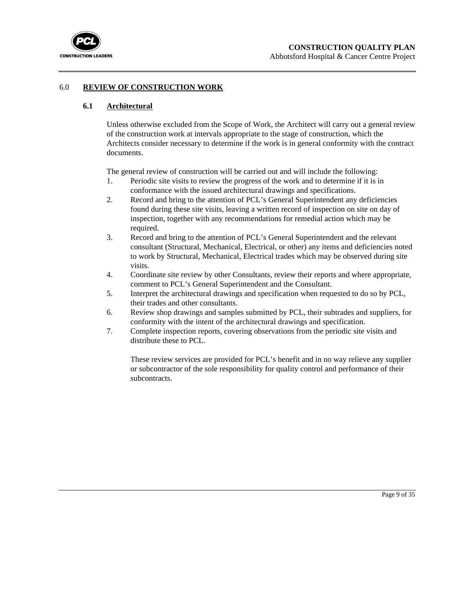

### 6.0 **REVIEW OF CONSTRUCTION WORK**

### **6.1 Architectural**

Unless otherwise excluded from the Scope of Work, the Architect will carry out a general review of the construction work at intervals appropriate to the stage of construction, which the Architects consider necessary to determine if the work is in general conformity with the contract documents.

The general review of construction will be carried out and will include the following:

- 1. Periodic site visits to review the progress of the work and to determine if it is in conformance with the issued architectural drawings and specifications.
- 2. Record and bring to the attention of PCL's General Superintendent any deficiencies found during these site visits, leaving a written record of inspection on site on day of inspection, together with any recommendations for remedial action which may be required.
- 3. Record and bring to the attention of PCL's General Superintendent and the relevant consultant (Structural, Mechanical, Electrical, or other) any items and deficiencies noted to work by Structural, Mechanical, Electrical trades which may be observed during site visits.
- 4. Coordinate site review by other Consultants, review their reports and where appropriate, comment to PCL's General Superintendent and the Consultant.
- 5. Interpret the architectural drawings and specification when requested to do so by PCL, their trades and other consultants.
- 6. Review shop drawings and samples submitted by PCL, their subtrades and suppliers, for conformity with the intent of the architectural drawings and specification.
- 7. Complete inspection reports, covering observations from the periodic site visits and distribute these to PCL.

These review services are provided for PCL's benefit and in no way relieve any supplier or subcontractor of the sole responsibility for quality control and performance of their subcontracts.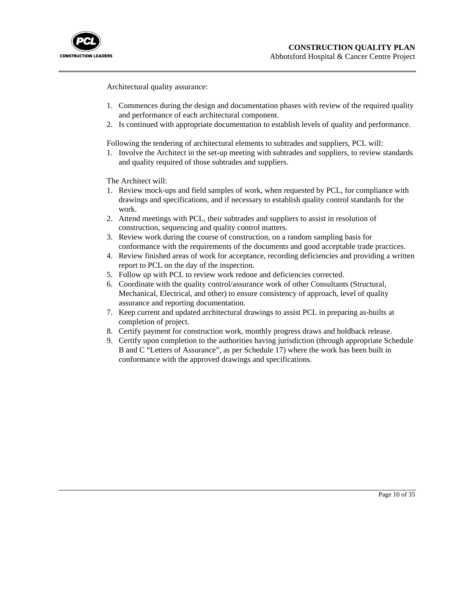

Architectural quality assurance:

- 1. Commences during the design and documentation phases with review of the required quality and performance of each architectural component.
- 2. Is continued with appropriate documentation to establish levels of quality and performance.

Following the tendering of architectural elements to subtrades and suppliers, PCL will:

1. Involve the Architect in the set-up meeting with subtrades and suppliers, to review standards and quality required of those subtrades and suppliers.

The Architect will:

- 1. Review mock-ups and field samples of work, when requested by PCL, for compliance with drawings and specifications, and if necessary to establish quality control standards for the work.
- 2. Attend meetings with PCL, their subtrades and suppliers to assist in resolution of construction, sequencing and quality control matters.
- 3. Review work during the course of construction, on a random sampling basis for conformance with the requirements of the documents and good acceptable trade practices.
- 4. Review finished areas of work for acceptance, recording deficiencies and providing a written report to PCL on the day of the inspection.
- 5. Follow up with PCL to review work redone and deficiencies corrected.
- 6. Coordinate with the quality control/assurance work of other Consultants (Structural, Mechanical, Electrical, and other) to ensure consistency of approach, level of quality assurance and reporting documentation.
- 7. Keep current and updated architectural drawings to assist PCL in preparing as-builts at completion of project.
- 8. Certify payment for construction work, monthly progress draws and holdback release.
- 9. Certify upon completion to the authorities having jurisdiction (through appropriate Schedule B and C "Letters of Assurance", as per Schedule 17) where the work has been built in conformance with the approved drawings and specifications.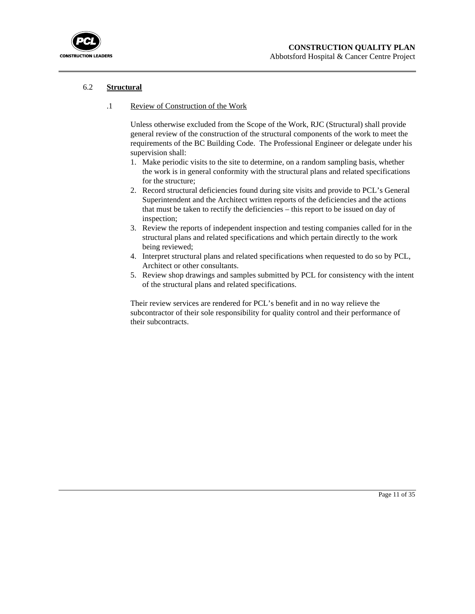

## 6.2 **Structural**

#### .1 Review of Construction of the Work

Unless otherwise excluded from the Scope of the Work, RJC (Structural) shall provide general review of the construction of the structural components of the work to meet the requirements of the BC Building Code. The Professional Engineer or delegate under his supervision shall:

- 1. Make periodic visits to the site to determine, on a random sampling basis, whether the work is in general conformity with the structural plans and related specifications for the structure;
- 2. Record structural deficiencies found during site visits and provide to PCL's General Superintendent and the Architect written reports of the deficiencies and the actions that must be taken to rectify the deficiencies – this report to be issued on day of inspection;
- 3. Review the reports of independent inspection and testing companies called for in the structural plans and related specifications and which pertain directly to the work being reviewed;
- 4. Interpret structural plans and related specifications when requested to do so by PCL, Architect or other consultants.
- 5. Review shop drawings and samples submitted by PCL for consistency with the intent of the structural plans and related specifications.

Their review services are rendered for PCL's benefit and in no way relieve the subcontractor of their sole responsibility for quality control and their performance of their subcontracts.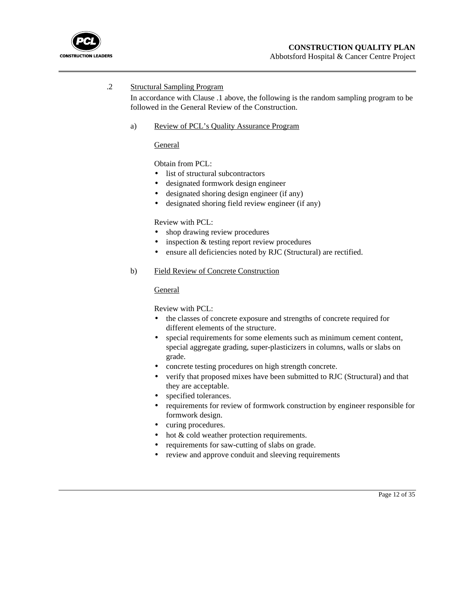

## .2 Structural Sampling Program

In accordance with Clause .1 above, the following is the random sampling program to be followed in the General Review of the Construction.

#### a) Review of PCL's Quality Assurance Program

General

Obtain from PCL:

- list of structural subcontractors
- designated formwork design engineer
- designated shoring design engineer (if any)
- designated shoring field review engineer (if any)

## Review with PCL:

- shop drawing review procedures
- inspection  $&$  testing report review procedures
- ensure all deficiencies noted by RJC (Structural) are rectified.

#### b) Field Review of Concrete Construction

#### General

Review with PCL:

- the classes of concrete exposure and strengths of concrete required for different elements of the structure.
- special requirements for some elements such as minimum cement content, special aggregate grading, super-plasticizers in columns, walls or slabs on grade.
- concrete testing procedures on high strength concrete.
- verify that proposed mixes have been submitted to RJC (Structural) and that they are acceptable.
- specified tolerances.
- requirements for review of formwork construction by engineer responsible for formwork design.
- curing procedures.
- hot & cold weather protection requirements.
- requirements for saw-cutting of slabs on grade.
- review and approve conduit and sleeving requirements

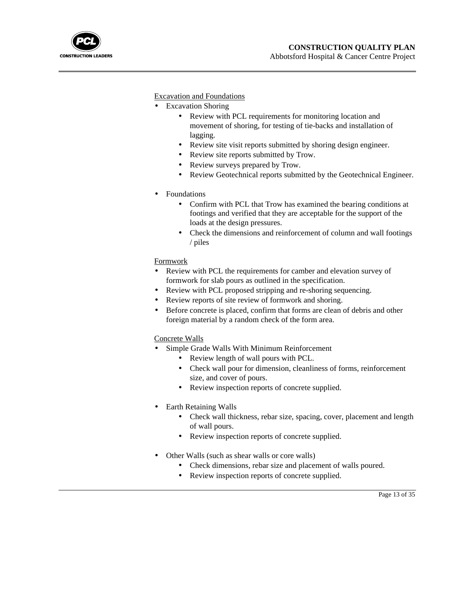

Excavation and Foundations

- Excavation Shoring
	- Review with PCL requirements for monitoring location and movement of shoring, for testing of tie-backs and installation of lagging.
	- Review site visit reports submitted by shoring design engineer.
	- Review site reports submitted by Trow.
	- Review surveys prepared by Trow.
	- Review Geotechnical reports submitted by the Geotechnical Engineer.
- Foundations
	- Confirm with PCL that Trow has examined the bearing conditions at footings and verified that they are acceptable for the support of the loads at the design pressures.
	- Check the dimensions and reinforcement of column and wall footings / piles

## Formwork

- Review with PCL the requirements for camber and elevation survey of formwork for slab pours as outlined in the specification.
- Review with PCL proposed stripping and re-shoring sequencing.
- Review reports of site review of formwork and shoring.
- Before concrete is placed, confirm that forms are clean of debris and other foreign material by a random check of the form area.

### Concrete Walls

- Simple Grade Walls With Minimum Reinforcement
	- Review length of wall pours with PCL.
	- Check wall pour for dimension, cleanliness of forms, reinforcement size, and cover of pours.
	- Review inspection reports of concrete supplied.
- Earth Retaining Walls
	- Check wall thickness, rebar size, spacing, cover, placement and length of wall pours.

Page 13 of 35

- Review inspection reports of concrete supplied.
- Other Walls (such as shear walls or core walls)
	- Check dimensions, rebar size and placement of walls poured.
	- Review inspection reports of concrete supplied.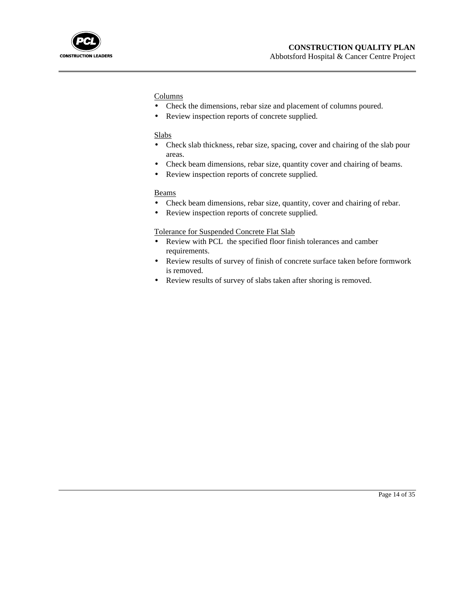

### **Columns**

- Check the dimensions, rebar size and placement of columns poured.
- Review inspection reports of concrete supplied.

#### **Slabs**

- Check slab thickness, rebar size, spacing, cover and chairing of the slab pour areas.
- Check beam dimensions, rebar size, quantity cover and chairing of beams.
- Review inspection reports of concrete supplied.

#### Beams

- Check beam dimensions, rebar size, quantity, cover and chairing of rebar.
- Review inspection reports of concrete supplied.

#### Tolerance for Suspended Concrete Flat Slab

- Review with PCL the specified floor finish tolerances and camber requirements.
- Review results of survey of finish of concrete surface taken before formwork is removed.
- Review results of survey of slabs taken after shoring is removed.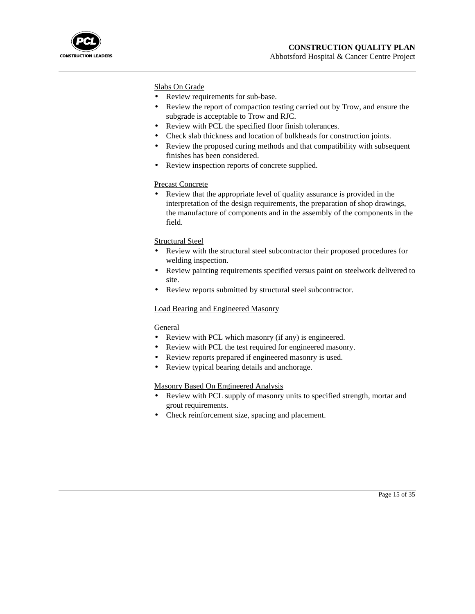

Slabs On Grade

- Review requirements for sub-base.
- Review the report of compaction testing carried out by Trow, and ensure the subgrade is acceptable to Trow and RJC.
- Review with PCL the specified floor finish tolerances.
- Check slab thickness and location of bulkheads for construction joints.
- Review the proposed curing methods and that compatibility with subsequent finishes has been considered.
- Review inspection reports of concrete supplied.

### Precast Concrete

Review that the appropriate level of quality assurance is provided in the interpretation of the design requirements, the preparation of shop drawings, the manufacture of components and in the assembly of the components in the field.

### Structural Steel

- Review with the structural steel subcontractor their proposed procedures for welding inspection.
- Review painting requirements specified versus paint on steelwork delivered to site.
- Review reports submitted by structural steel subcontractor.

#### Load Bearing and Engineered Masonry

### **General**

- Review with PCL which masonry (if any) is engineered.
- Review with PCL the test required for engineered masonry.
- Review reports prepared if engineered masonry is used.
- Review typical bearing details and anchorage.

### Masonry Based On Engineered Analysis

- Review with PCL supply of masonry units to specified strength, mortar and grout requirements.
- Check reinforcement size, spacing and placement.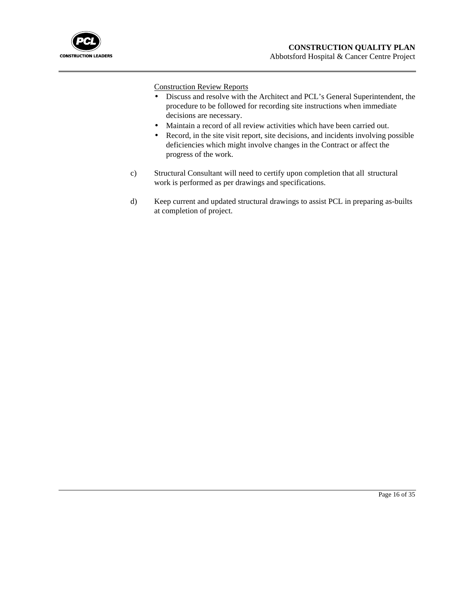

Construction Review Reports

- Discuss and resolve with the Architect and PCL's General Superintendent, the procedure to be followed for recording site instructions when immediate decisions are necessary.
- Maintain a record of all review activities which have been carried out.
- Record, in the site visit report, site decisions, and incidents involving possible deficiencies which might involve changes in the Contract or affect the progress of the work.
- c) Structural Consultant will need to certify upon completion that all structural work is performed as per drawings and specifications.
- d) Keep current and updated structural drawings to assist PCL in preparing as-builts at completion of project.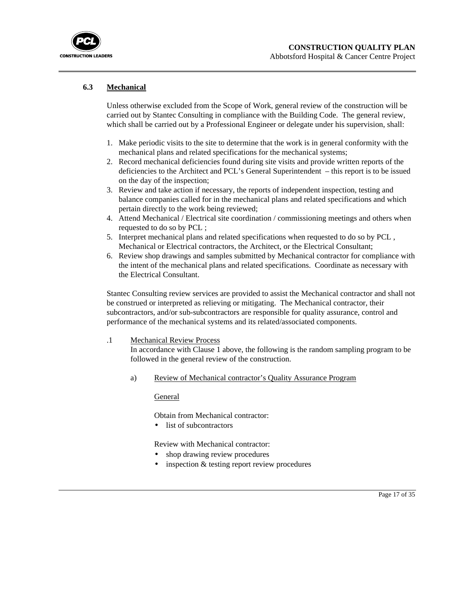

## **6.3 Mechanical**

Unless otherwise excluded from the Scope of Work, general review of the construction will be carried out by Stantec Consulting in compliance with the Building Code. The general review, which shall be carried out by a Professional Engineer or delegate under his supervision, shall:

- 1. Make periodic visits to the site to determine that the work is in general conformity with the mechanical plans and related specifications for the mechanical systems;
- 2. Record mechanical deficiencies found during site visits and provide written reports of the deficiencies to the Architect and PCL's General Superintendent – this report is to be issued on the day of the inspection;
- 3. Review and take action if necessary, the reports of independent inspection, testing and balance companies called for in the mechanical plans and related specifications and which pertain directly to the work being reviewed;
- 4. Attend Mechanical / Electrical site coordination / commissioning meetings and others when requested to do so by PCL ;
- 5. Interpret mechanical plans and related specifications when requested to do so by PCL , Mechanical or Electrical contractors, the Architect, or the Electrical Consultant;
- 6. Review shop drawings and samples submitted by Mechanical contractor for compliance with the intent of the mechanical plans and related specifications. Coordinate as necessary with the Electrical Consultant.

Stantec Consulting review services are provided to assist the Mechanical contractor and shall not be construed or interpreted as relieving or mitigating. The Mechanical contractor, their subcontractors, and/or sub-subcontractors are responsible for quality assurance, control and performance of the mechanical systems and its related/associated components.

#### .1 Mechanical Review Process

In accordance with Clause 1 above, the following is the random sampling program to be followed in the general review of the construction.

a) Review of Mechanical contractor's Quality Assurance Program

General

Obtain from Mechanical contractor:

• list of subcontractors

Review with Mechanical contractor:

- shop drawing review procedures
- inspection  $&$  testing report review procedures

Page 17 of 35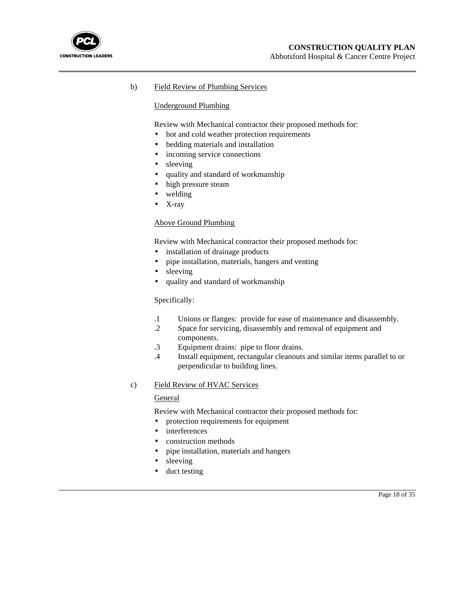

## b) Field Review of Plumbing Services

#### Underground Plumbing

Review with Mechanical contractor their proposed methods for:

- hot and cold weather protection requirements
- bedding materials and installation
- incoming service connections
- sleeving
- quality and standard of workmanship
- high pressure steam
- welding
- X-ray

## Above Ground Plumbing

Review with Mechanical contractor their proposed methods for:

- installation of drainage products
- pipe installation, materials, hangers and venting
- sleeving
- quality and standard of workmanship

#### Specifically:

- .1 Unions or flanges: provide for ease of maintenance and disassembly.
- .2 Space for servicing, disassembly and removal of equipment and components.
- .3 Equipment drains: pipe to floor drains.
- .4 Install equipment, rectangular cleanouts and similar items parallel to or perpendicular to building lines.

#### c) Field Review of HVAC Services

#### General

Review with Mechanical contractor their proposed methods for:

- protection requirements for equipment
- interferences
- construction methods
- pipe installation, materials and hangers
- sleeving
- duct testing

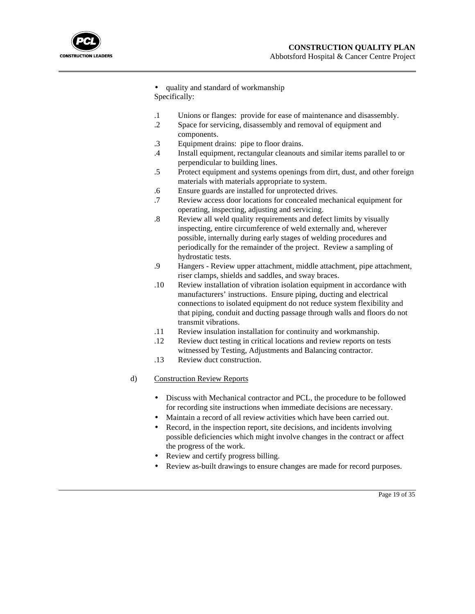

• quality and standard of workmanship Specifically:

- .1 Unions or flanges: provide for ease of maintenance and disassembly.
- .2 Space for servicing, disassembly and removal of equipment and components.
	- .3 Equipment drains: pipe to floor drains.
	- .4 Install equipment, rectangular cleanouts and similar items parallel to or perpendicular to building lines.
	- .5 Protect equipment and systems openings from dirt, dust, and other foreign materials with materials appropriate to system.
	- .6 Ensure guards are installed for unprotected drives.
	- .7 Review access door locations for concealed mechanical equipment for operating, inspecting, adjusting and servicing.
	- .8 Review all weld quality requirements and defect limits by visually inspecting, entire circumference of weld externally and, wherever possible, internally during early stages of welding procedures and periodically for the remainder of the project. Review a sampling of hydrostatic tests.
	- .9 Hangers Review upper attachment, middle attachment, pipe attachment, riser clamps, shields and saddles, and sway braces.
	- .10 Review installation of vibration isolation equipment in accordance with manufacturers' instructions. Ensure piping, ducting and electrical connections to isolated equipment do not reduce system flexibility and that piping, conduit and ducting passage through walls and floors do not transmit vibrations.
	- .11 Review insulation installation for continuity and workmanship.
	- .12 Review duct testing in critical locations and review reports on tests witnessed by Testing, Adjustments and Balancing contractor.
- .13 Review duct construction.

## d) Construction Review Reports

- Discuss with Mechanical contractor and PCL, the procedure to be followed for recording site instructions when immediate decisions are necessary.
- Maintain a record of all review activities which have been carried out.
- Record, in the inspection report, site decisions, and incidents involving possible deficiencies which might involve changes in the contract or affect the progress of the work.
- Review and certify progress billing.
- Review as-built drawings to ensure changes are made for record purposes.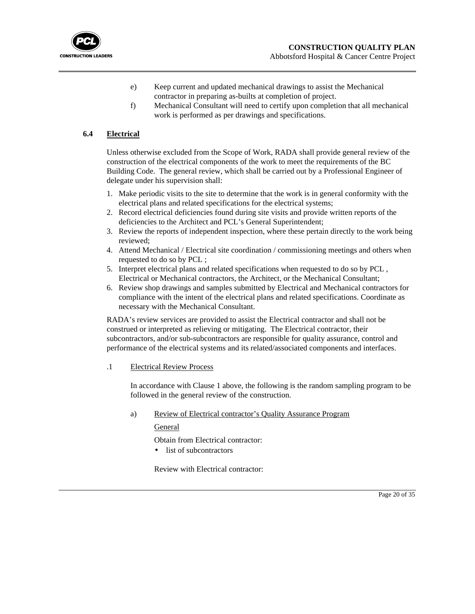

- e) Keep current and updated mechanical drawings to assist the Mechanical contractor in preparing as-builts at completion of project.
- f) Mechanical Consultant will need to certify upon completion that all mechanical work is performed as per drawings and specifications.

## **6.4 Electrical**

Unless otherwise excluded from the Scope of Work, RADA shall provide general review of the construction of the electrical components of the work to meet the requirements of the BC Building Code. The general review, which shall be carried out by a Professional Engineer of delegate under his supervision shall:

- 1. Make periodic visits to the site to determine that the work is in general conformity with the electrical plans and related specifications for the electrical systems;
- 2. Record electrical deficiencies found during site visits and provide written reports of the deficiencies to the Architect and PCL's General Superintendent;
- 3. Review the reports of independent inspection, where these pertain directly to the work being reviewed;
- 4. Attend Mechanical / Electrical site coordination / commissioning meetings and others when requested to do so by PCL ;
- 5. Interpret electrical plans and related specifications when requested to do so by PCL , Electrical or Mechanical contractors, the Architect, or the Mechanical Consultant;
- 6. Review shop drawings and samples submitted by Electrical and Mechanical contractors for compliance with the intent of the electrical plans and related specifications. Coordinate as necessary with the Mechanical Consultant.

RADA's review services are provided to assist the Electrical contractor and shall not be construed or interpreted as relieving or mitigating. The Electrical contractor, their subcontractors, and/or sub-subcontractors are responsible for quality assurance, control and performance of the electrical systems and its related/associated components and interfaces.

### .1 Electrical Review Process

In accordance with Clause 1 above, the following is the random sampling program to be followed in the general review of the construction.

a) Review of Electrical contractor's Quality Assurance Program

### General

Obtain from Electrical contractor:

• list of subcontractors

Review with Electrical contractor: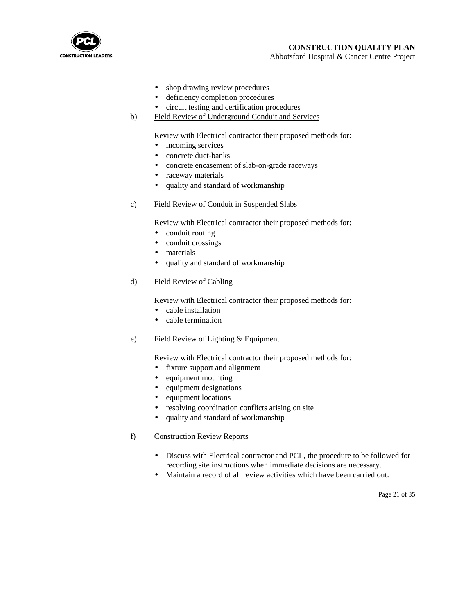

- shop drawing review procedures
- deficiency completion procedures
- circuit testing and certification procedures
- b) Field Review of Underground Conduit and Services

Review with Electrical contractor their proposed methods for:

- incoming services
- concrete duct-banks
- concrete encasement of slab-on-grade raceways
- raceway materials
- quality and standard of workmanship
- c) Field Review of Conduit in Suspended Slabs

Review with Electrical contractor their proposed methods for:

- conduit routing
- conduit crossings
- materials
- quality and standard of workmanship

## d) Field Review of Cabling

Review with Electrical contractor their proposed methods for:

- cable installation
- cable termination
- e) Field Review of Lighting & Equipment

Review with Electrical contractor their proposed methods for:

- fixture support and alignment
- equipment mounting
- equipment designations
- equipment locations
- resolving coordination conflicts arising on site
- quality and standard of workmanship
- f) Construction Review Reports
	- Discuss with Electrical contractor and PCL, the procedure to be followed for recording site instructions when immediate decisions are necessary.
	- Maintain a record of all review activities which have been carried out.

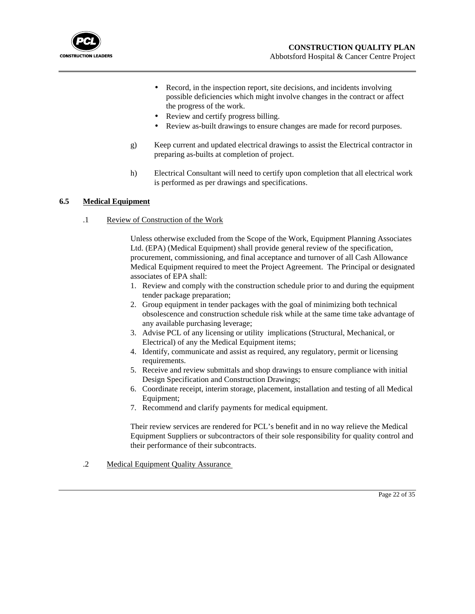

- Record, in the inspection report, site decisions, and incidents involving possible deficiencies which might involve changes in the contract or affect the progress of the work.
- Review and certify progress billing.
- Review as-built drawings to ensure changes are made for record purposes.
- g) Keep current and updated electrical drawings to assist the Electrical contractor in preparing as-builts at completion of project.
- h) Electrical Consultant will need to certify upon completion that all electrical work is performed as per drawings and specifications.

## **6.5 Medical Equipment**

.1 Review of Construction of the Work

Unless otherwise excluded from the Scope of the Work, Equipment Planning Associates Ltd. (EPA) (Medical Equipment) shall provide general review of the specification, procurement, commissioning, and final acceptance and turnover of all Cash Allowance Medical Equipment required to meet the Project Agreement. The Principal or designated associates of EPA shall:

- 1. Review and comply with the construction schedule prior to and during the equipment tender package preparation;
- 2. Group equipment in tender packages with the goal of minimizing both technical obsolescence and construction schedule risk while at the same time take advantage of any available purchasing leverage;
- 3. Advise PCL of any licensing or utility implications (Structural, Mechanical, or Electrical) of any the Medical Equipment items;
- 4. Identify, communicate and assist as required, any regulatory, permit or licensing requirements.
- 5. Receive and review submittals and shop drawings to ensure compliance with initial Design Specification and Construction Drawings;
- 6. Coordinate receipt, interim storage, placement, installation and testing of all Medical Equipment;
- 7. Recommend and clarify payments for medical equipment.

Their review services are rendered for PCL's benefit and in no way relieve the Medical Equipment Suppliers or subcontractors of their sole responsibility for quality control and their performance of their subcontracts.

.2 Medical Equipment Quality Assurance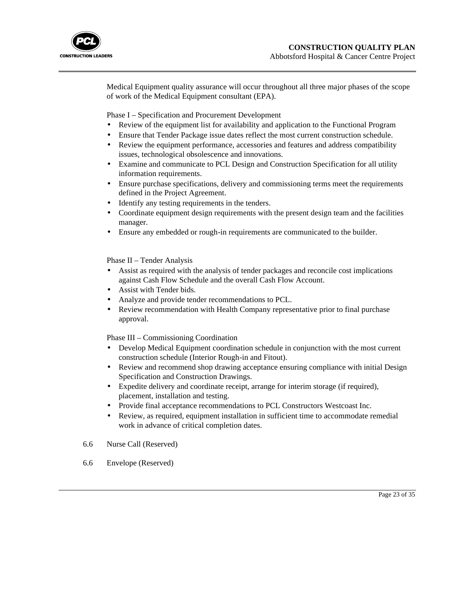

Medical Equipment quality assurance will occur throughout all three major phases of the scope of work of the Medical Equipment consultant (EPA).

Phase I – Specification and Procurement Development

- Review of the equipment list for availability and application to the Functional Program
- Ensure that Tender Package issue dates reflect the most current construction schedule.
- Review the equipment performance, accessories and features and address compatibility issues, technological obsolescence and innovations.
- Examine and communicate to PCL Design and Construction Specification for all utility information requirements.
- Ensure purchase specifications, delivery and commissioning terms meet the requirements defined in the Project Agreement.
- Identify any testing requirements in the tenders.
- Coordinate equipment design requirements with the present design team and the facilities manager.
- Ensure any embedded or rough-in requirements are communicated to the builder.

Phase II – Tender Analysis

- Assist as required with the analysis of tender packages and reconcile cost implications against Cash Flow Schedule and the overall Cash Flow Account.
- Assist with Tender bids.
- Analyze and provide tender recommendations to PCL.
- Review recommendation with Health Company representative prior to final purchase approval.

Phase III – Commissioning Coordination

- Develop Medical Equipment coordination schedule in conjunction with the most current construction schedule (Interior Rough-in and Fitout).
- Review and recommend shop drawing acceptance ensuring compliance with initial Design Specification and Construction Drawings.
- Expedite delivery and coordinate receipt, arrange for interim storage (if required), placement, installation and testing.
- Provide final acceptance recommendations to PCL Constructors Westcoast Inc.
- Review, as required, equipment installation in sufficient time to accommodate remedial work in advance of critical completion dates.
- 6.6 Nurse Call (Reserved)
- 6.6 Envelope (Reserved)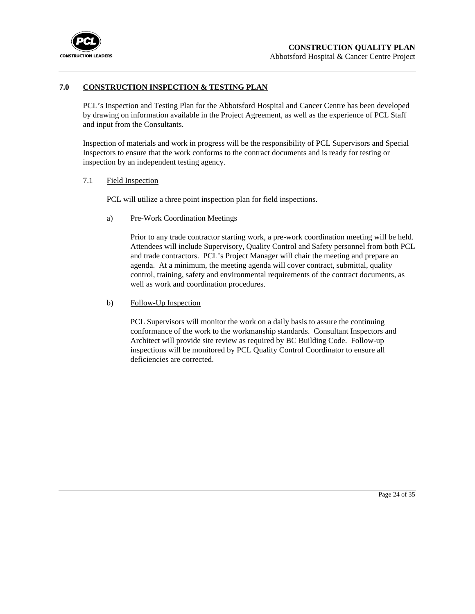

### **7.0 CONSTRUCTION INSPECTION & TESTING PLAN**

PCL's Inspection and Testing Plan for the Abbotsford Hospital and Cancer Centre has been developed by drawing on information available in the Project Agreement, as well as the experience of PCL Staff and input from the Consultants.

Inspection of materials and work in progress will be the responsibility of PCL Supervisors and Special Inspectors to ensure that the work conforms to the contract documents and is ready for testing or inspection by an independent testing agency.

## 7.1 Field Inspection

PCL will utilize a three point inspection plan for field inspections.

a) Pre-Work Coordination Meetings

Prior to any trade contractor starting work, a pre-work coordination meeting will be held. Attendees will include Supervisory, Quality Control and Safety personnel from both PCL and trade contractors. PCL's Project Manager will chair the meeting and prepare an agenda. At a minimum, the meeting agenda will cover contract, submittal, quality control, training, safety and environmental requirements of the contract documents, as well as work and coordination procedures.

b) Follow-Up Inspection

PCL Supervisors will monitor the work on a daily basis to assure the continuing conformance of the work to the workmanship standards. Consultant Inspectors and Architect will provide site review as required by BC Building Code. Follow-up inspections will be monitored by PCL Quality Control Coordinator to ensure all deficiencies are corrected.

Page 24 of 35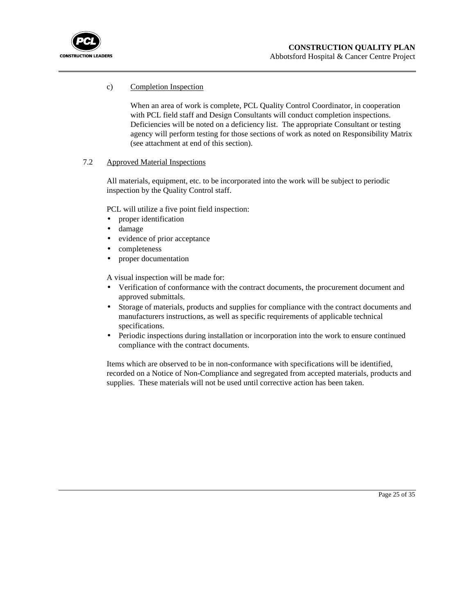

## c) Completion Inspection

When an area of work is complete, PCL Quality Control Coordinator, in cooperation with PCL field staff and Design Consultants will conduct completion inspections. Deficiencies will be noted on a deficiency list. The appropriate Consultant or testing agency will perform testing for those sections of work as noted on Responsibility Matrix (see attachment at end of this section).

### 7.2 Approved Material Inspections

All materials, equipment, etc. to be incorporated into the work will be subject to periodic inspection by the Quality Control staff.

PCL will utilize a five point field inspection:

- proper identification
- damage
- evidence of prior acceptance
- completeness
- proper documentation

A visual inspection will be made for:

- Verification of conformance with the contract documents, the procurement document and approved submittals.
- Storage of materials, products and supplies for compliance with the contract documents and manufacturers instructions, as well as specific requirements of applicable technical specifications.
- Periodic inspections during installation or incorporation into the work to ensure continued compliance with the contract documents.

Items which are observed to be in non-conformance with specifications will be identified, recorded on a Notice of Non-Compliance and segregated from accepted materials, products and supplies. These materials will not be used until corrective action has been taken.

Page 25 of 35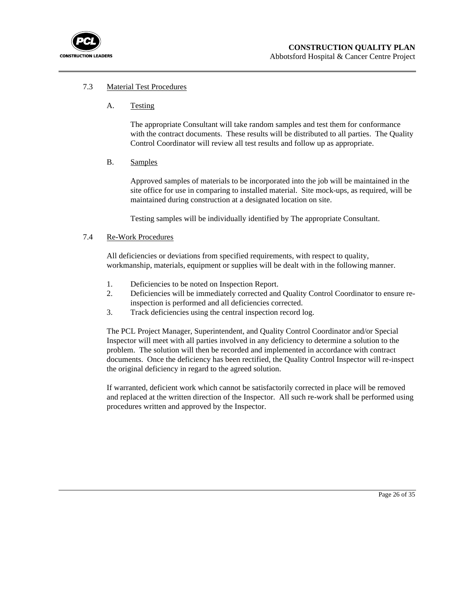

#### 7.3 Material Test Procedures

A. Testing

The appropriate Consultant will take random samples and test them for conformance with the contract documents. These results will be distributed to all parties. The Quality Control Coordinator will review all test results and follow up as appropriate.

B. Samples

Approved samples of materials to be incorporated into the job will be maintained in the site office for use in comparing to installed material. Site mock-ups, as required, will be maintained during construction at a designated location on site.

Testing samples will be individually identified by The appropriate Consultant.

#### 7.4 Re-Work Procedures

All deficiencies or deviations from specified requirements, with respect to quality, workmanship, materials, equipment or supplies will be dealt with in the following manner.

- 1. Deficiencies to be noted on Inspection Report.
- 2. Deficiencies will be immediately corrected and Quality Control Coordinator to ensure reinspection is performed and all deficiencies corrected.
- 3. Track deficiencies using the central inspection record log.

The PCL Project Manager, Superintendent, and Quality Control Coordinator and/or Special Inspector will meet with all parties involved in any deficiency to determine a solution to the problem. The solution will then be recorded and implemented in accordance with contract documents. Once the deficiency has been rectified, the Quality Control Inspector will re-inspect the original deficiency in regard to the agreed solution.

If warranted, deficient work which cannot be satisfactorily corrected in place will be removed and replaced at the written direction of the Inspector. All such re-work shall be performed using procedures written and approved by the Inspector.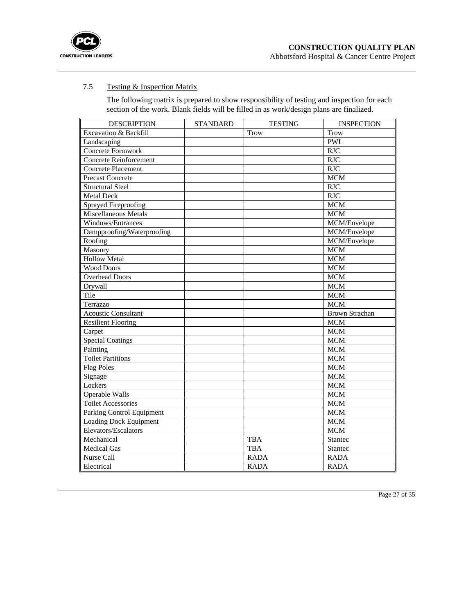

## 7.5 Testing & Inspection Matrix

The following matrix is prepared to show responsibility of testing and inspection for each section of the work. Blank fields will be filled in as work/design plans are finalized.

| <b>DESCRIPTION</b>            | <b>STANDARD</b> | <b>TESTING</b> | <b>INSPECTION</b>     |
|-------------------------------|-----------------|----------------|-----------------------|
| Excavation & Backfill         |                 | <b>Trow</b>    | <b>Trow</b>           |
| Landscaping                   |                 |                | <b>PWL</b>            |
| Concrete Formwork             |                 |                | <b>RJC</b>            |
| <b>Concrete Reinforcement</b> |                 |                | <b>RJC</b>            |
| <b>Concrete Placement</b>     |                 |                | <b>RJC</b>            |
| <b>Precast Concrete</b>       |                 |                | <b>MCM</b>            |
| <b>Structural Steel</b>       |                 |                | <b>RJC</b>            |
| <b>Metal Deck</b>             |                 |                | RJC                   |
| Sprayed Fireproofing          |                 |                | <b>MCM</b>            |
| <b>Miscellaneous Metals</b>   |                 |                | <b>MCM</b>            |
| Windows/Entrances             |                 |                | MCM/Envelope          |
| Dampproofing/Waterproofing    |                 |                | MCM/Envelope          |
| Roofing                       |                 |                | MCM/Envelope          |
| Masonry                       |                 |                | <b>MCM</b>            |
| <b>Hollow Metal</b>           |                 |                | <b>MCM</b>            |
| <b>Wood Doors</b>             |                 |                | <b>MCM</b>            |
| <b>Overhead Doors</b>         |                 |                | <b>MCM</b>            |
| Drywall                       |                 |                | <b>MCM</b>            |
| Tile                          |                 |                | <b>MCM</b>            |
| Terrazzo                      |                 |                | <b>MCM</b>            |
| <b>Acoustic Consultant</b>    |                 |                | <b>Brown Strachan</b> |
| <b>Resilient Flooring</b>     |                 |                | <b>MCM</b>            |
| Carpet                        |                 |                | <b>MCM</b>            |
| <b>Special Coatings</b>       |                 |                | <b>MCM</b>            |
| Painting                      |                 |                | <b>MCM</b>            |
| <b>Toilet Partitions</b>      |                 |                | <b>MCM</b>            |
| <b>Flag Poles</b>             |                 |                | <b>MCM</b>            |
| Signage                       |                 |                | <b>MCM</b>            |
| Lockers                       |                 |                | <b>MCM</b>            |
| <b>Operable Walls</b>         |                 |                | <b>MCM</b>            |
| <b>Toilet Accessories</b>     |                 |                | <b>MCM</b>            |
| Parking Control Equipment     |                 |                | <b>MCM</b>            |
| Loading Dock Equipment        |                 |                | <b>MCM</b>            |
| Elevators/Escalators          |                 |                | <b>MCM</b>            |
| Mechanical                    |                 | <b>TBA</b>     | <b>Stantec</b>        |
| <b>Medical Gas</b>            |                 | <b>TBA</b>     | <b>Stantec</b>        |
| Nurse Call                    |                 | <b>RADA</b>    | <b>RADA</b>           |
| Electrical                    |                 | <b>RADA</b>    | <b>RADA</b>           |

Page 27 of 35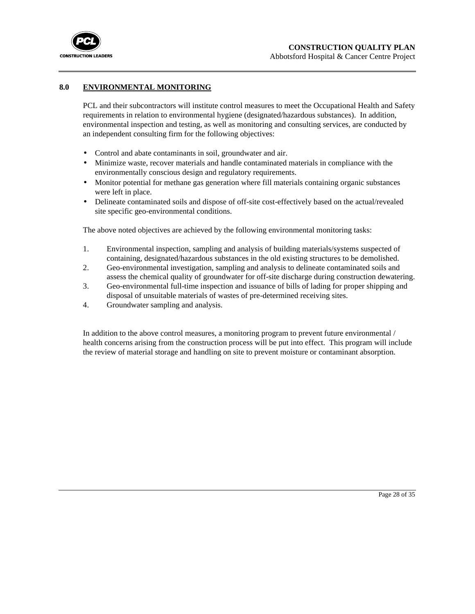

## **8.0 ENVIRONMENTAL MONITORING**

PCL and their subcontractors will institute control measures to meet the Occupational Health and Safety requirements in relation to environmental hygiene (designated/hazardous substances). In addition, environmental inspection and testing, as well as monitoring and consulting services, are conducted by an independent consulting firm for the following objectives:

- Control and abate contaminants in soil, groundwater and air.
- Minimize waste, recover materials and handle contaminated materials in compliance with the environmentally conscious design and regulatory requirements.
- Monitor potential for methane gas generation where fill materials containing organic substances were left in place.
- Delineate contaminated soils and dispose of off-site cost-effectively based on the actual/revealed site specific geo-environmental conditions.

The above noted objectives are achieved by the following environmental monitoring tasks:

- 1. Environmental inspection, sampling and analysis of building materials/systems suspected of containing, designated/hazardous substances in the old existing structures to be demolished.
- 2. Geo-environmental investigation, sampling and analysis to delineate contaminated soils and assess the chemical quality of groundwater for off-site discharge during construction dewatering.
- 3. Geo-environmental full-time inspection and issuance of bills of lading for proper shipping and disposal of unsuitable materials of wastes of pre-determined receiving sites.
- 4. Groundwater sampling and analysis.

In addition to the above control measures, a monitoring program to prevent future environmental / health concerns arising from the construction process will be put into effect. This program will include the review of material storage and handling on site to prevent moisture or contaminant absorption.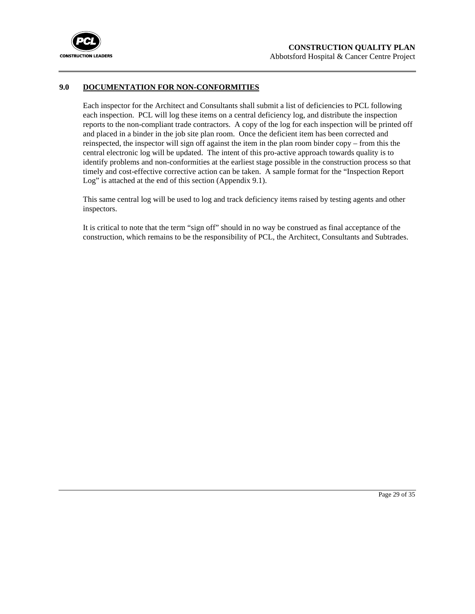

#### **9.0 DOCUMENTATION FOR NON-CONFORMITIES**

Each inspector for the Architect and Consultants shall submit a list of deficiencies to PCL following each inspection. PCL will log these items on a central deficiency log, and distribute the inspection reports to the non-compliant trade contractors. A copy of the log for each inspection will be printed off and placed in a binder in the job site plan room. Once the deficient item has been corrected and reinspected, the inspector will sign off against the item in the plan room binder copy – from this the central electronic log will be updated. The intent of this pro-active approach towards quality is to identify problems and non-conformities at the earliest stage possible in the construction process so that timely and cost-effective corrective action can be taken. A sample format for the "Inspection Report Log" is attached at the end of this section (Appendix 9.1).

This same central log will be used to log and track deficiency items raised by testing agents and other inspectors.

It is critical to note that the term "sign off" should in no way be construed as final acceptance of the construction, which remains to be the responsibility of PCL, the Architect, Consultants and Subtrades.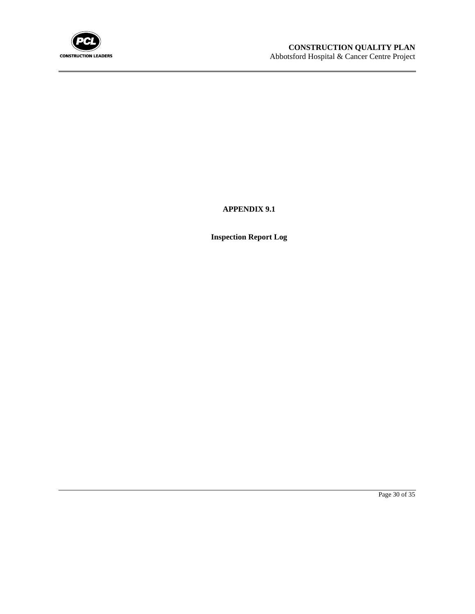

**APPENDIX 9.1**

**Inspection Report Log**

Page 30 of 35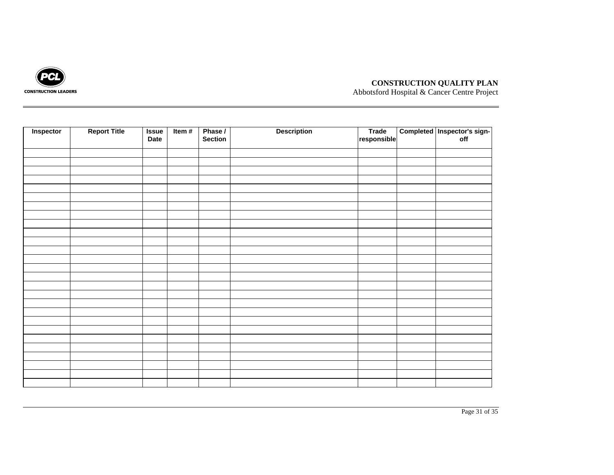

## **CONSTRUCTION QUALITY PLAN**

Abbotsford Hospital & Cancer Centre Project

| Inspector | <b>Report Title</b> | <b>Issue</b><br>Date | Item $#$ | Phase /<br>Section | <b>Description</b> | Trade<br>responsible | Completed Inspector's sign-<br>off |
|-----------|---------------------|----------------------|----------|--------------------|--------------------|----------------------|------------------------------------|
|           |                     |                      |          |                    |                    |                      |                                    |
|           |                     |                      |          |                    |                    |                      |                                    |
|           |                     |                      |          |                    |                    |                      |                                    |
|           |                     |                      |          |                    |                    |                      |                                    |
|           |                     |                      |          |                    |                    |                      |                                    |
|           |                     |                      |          |                    |                    |                      |                                    |
|           |                     |                      |          |                    |                    |                      |                                    |
|           |                     |                      |          |                    |                    |                      |                                    |
|           |                     |                      |          |                    |                    |                      |                                    |
|           |                     |                      |          |                    |                    |                      |                                    |
|           |                     |                      |          |                    |                    |                      |                                    |
|           |                     |                      |          |                    |                    |                      |                                    |
|           |                     |                      |          |                    |                    |                      |                                    |
|           |                     |                      |          |                    |                    |                      |                                    |
|           |                     |                      |          |                    |                    |                      |                                    |
|           |                     |                      |          |                    |                    |                      |                                    |
|           |                     |                      |          |                    |                    |                      |                                    |
|           |                     |                      |          |                    |                    |                      |                                    |
|           |                     |                      |          |                    |                    |                      |                                    |
|           |                     |                      |          |                    |                    |                      |                                    |
|           |                     |                      |          |                    |                    |                      |                                    |
|           |                     |                      |          |                    |                    |                      |                                    |
|           |                     |                      |          |                    |                    |                      |                                    |
|           |                     |                      |          |                    |                    |                      |                                    |
|           |                     |                      |          |                    |                    |                      |                                    |
|           |                     |                      |          |                    |                    |                      |                                    |
|           |                     |                      |          |                    |                    |                      |                                    |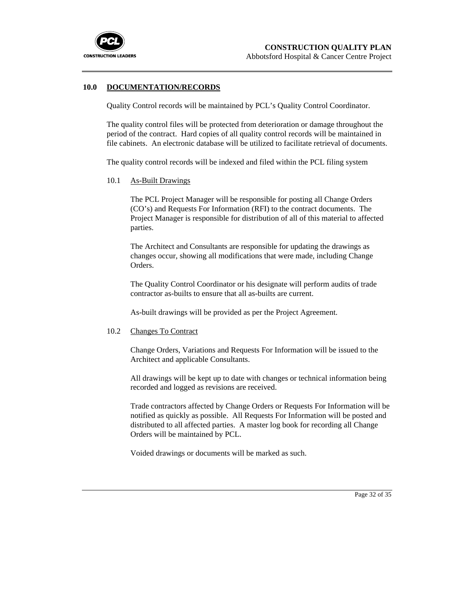

#### **10.0 DOCUMENTATION/RECORDS**

Quality Control records will be maintained by PCL's Quality Control Coordinator.

The quality control files will be protected from deterioration or damage throughout the period of the contract. Hard copies of all quality control records will be maintained in file cabinets. An electronic database will be utilized to facilitate retrieval of documents.

The quality control records will be indexed and filed within the PCL filing system

10.1 As-Built Drawings

The PCL Project Manager will be responsible for posting all Change Orders (CO's) and Requests For Information (RFI) to the contract documents. The Project Manager is responsible for distribution of all of this material to affected parties.

The Architect and Consultants are responsible for updating the drawings as changes occur, showing all modifications that were made, including Change Orders.

The Quality Control Coordinator or his designate will perform audits of trade contractor as-builts to ensure that all as-builts are current.

As-built drawings will be provided as per the Project Agreement.

#### 10.2 Changes To Contract

Change Orders, Variations and Requests For Information will be issued to the Architect and applicable Consultants.

All drawings will be kept up to date with changes or technical information being recorded and logged as revisions are received.

Trade contractors affected by Change Orders or Requests For Information will be notified as quickly as possible. All Requests For Information will be posted and distributed to all affected parties. A master log book for recording all Change Orders will be maintained by PCL.

Voided drawings or documents will be marked as such.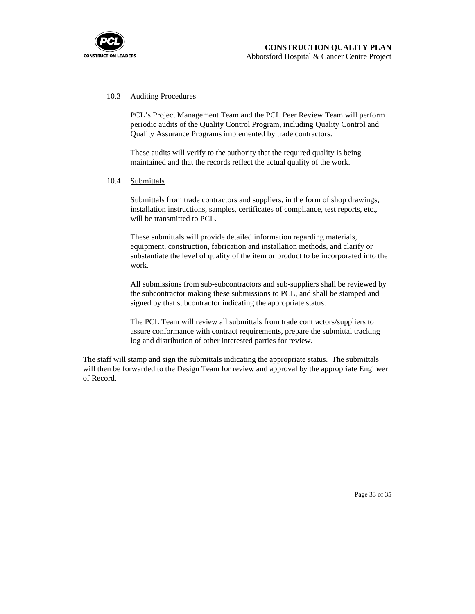

### 10.3 Auditing Procedures

PCL's Project Management Team and the PCL Peer Review Team will perform periodic audits of the Quality Control Program, including Quality Control and Quality Assurance Programs implemented by trade contractors.

These audits will verify to the authority that the required quality is being maintained and that the records reflect the actual quality of the work.

10.4 Submittals

Submittals from trade contractors and suppliers, in the form of shop drawings, installation instructions, samples, certificates of compliance, test reports, etc., will be transmitted to PCL.

These submittals will provide detailed information regarding materials, equipment, construction, fabrication and installation methods, and clarify or substantiate the level of quality of the item or product to be incorporated into the work.

All submissions from sub-subcontractors and sub-suppliers shall be reviewed by the subcontractor making these submissions to PCL, and shall be stamped and signed by that subcontractor indicating the appropriate status.

The PCL Team will review all submittals from trade contractors/suppliers to assure conformance with contract requirements, prepare the submittal tracking log and distribution of other interested parties for review.

The staff will stamp and sign the submittals indicating the appropriate status. The submittals will then be forwarded to the Design Team for review and approval by the appropriate Engineer of Record.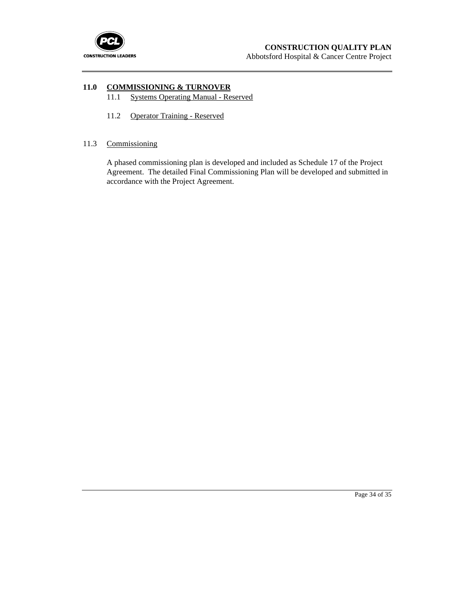

# **11.0 COMMISSIONING & TURNOVER**

- 11.1 Systems Operating Manual Reserved
- 11.2 Operator Training Reserved

### 11.3 Commissioning

A phased commissioning plan is developed and included as Schedule 17 of the Project Agreement. The detailed Final Commissioning Plan will be developed and submitted in accordance with the Project Agreement.